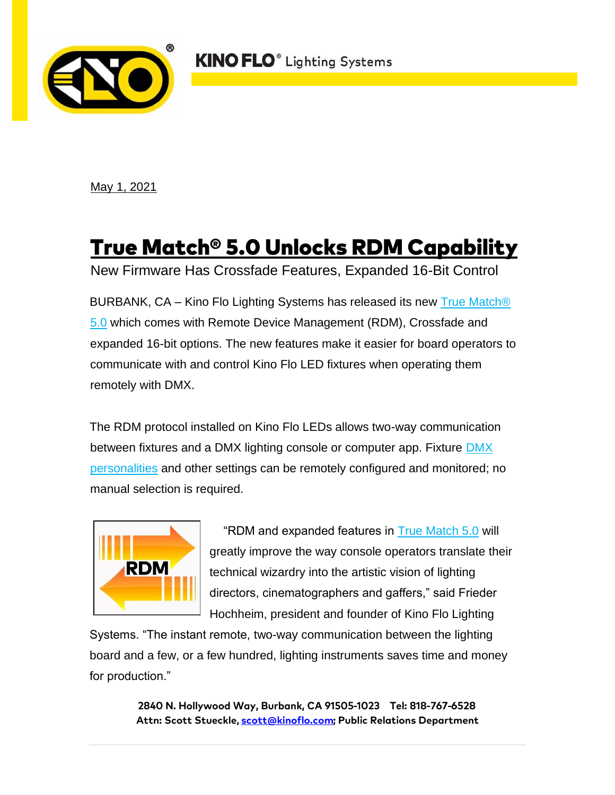**KINO FLO**<sup>®</sup> Lighting Systems



May 1, 2021

## <u>True Match® 5.0 Unlocks RDM Capability</u>

New Firmware Has Crossfade Features, Expanded 16-Bit Control

BURBANK, CA – Kino Flo Lighting Systems has released its new [True Match®](https://www.kinoflo.com/Products%20Button/LED/TrueMatch_Firmware/TrueMatch_Firmware.html) [5.0](https://www.kinoflo.com/Products%20Button/LED/TrueMatch_Firmware/TrueMatch_Firmware.html) which comes with Remote Device Management (RDM), Crossfade and expanded 16-bit options. The new features make it easier for board operators to communicate with and control Kino Flo LED fixtures when operating them remotely with DMX.

The RDM protocol installed on Kino Flo LEDs allows two-way communication between fixtures and a DMX lighting console or computer app. Fixture [DMX](https://www.kinoflo.com/PDF/True%20Match%20Firmware%204.0/True%20Match%20Firmware%205.0%20RDM%20DMX%20Personalities%20May%202021.pdf) [personalities](https://www.kinoflo.com/PDF/True%20Match%20Firmware%204.0/True%20Match%20Firmware%205.0%20RDM%20DMX%20Personalities%20May%202021.pdf) and other settings can be remotely configured and monitored; no manual selection is required.



 "RDM and expanded features in [True Match 5.0](https://www.kinoflo.com/Products%20Button/LED/TrueMatch_Firmware/TrueMatch_Firmware.html) will greatly improve the way console operators translate their technical wizardry into the artistic vision of lighting directors, cinematographers and gaffers," said Frieder Hochheim, president and founder of Kino Flo Lighting

Systems. "The instant remote, two-way communication between the lighting board and a few, or a few hundred, lighting instruments saves time and money for production."

> 2840 N. Hollywood Way, Burbank, CA 91505-1023 Tel: 818-767-6528 Attn: Scott Stueckle, scott@kinoflo.com; Public Relations Department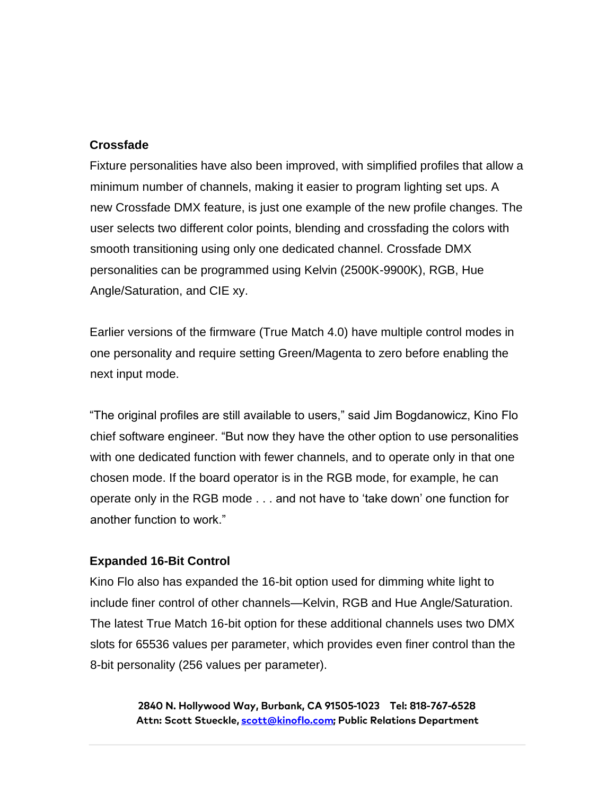## **Crossfade**

Fixture personalities have also been improved, with simplified profiles that allow a minimum number of channels, making it easier to program lighting set ups. A new Crossfade DMX feature, is just one example of the new profile changes. The user selects two different color points, blending and crossfading the colors with smooth transitioning using only one dedicated channel. Crossfade DMX personalities can be programmed using Kelvin (2500K-9900K), RGB, Hue Angle/Saturation, and CIE xy.

Earlier versions of the firmware (True Match 4.0) have multiple control modes in one personality and require setting Green/Magenta to zero before enabling the next input mode.

"The original profiles are still available to users," said Jim Bogdanowicz, Kino Flo chief software engineer. "But now they have the other option to use personalities with one dedicated function with fewer channels, and to operate only in that one chosen mode. If the board operator is in the RGB mode, for example, he can operate only in the RGB mode . . . and not have to 'take down' one function for another function to work."

## **Expanded 16-Bit Control**

Kino Flo also has expanded the 16-bit option used for dimming white light to include finer control of other channels—Kelvin, RGB and Hue Angle/Saturation. The latest True Match 16-bit option for these additional channels uses two DMX slots for 65536 values per parameter, which provides even finer control than the 8-bit personality (256 values per parameter).

> 2840 N. Hollywood Way, Burbank, CA 91505-1023 Tel: 818-767-6528 Attn: Scott Stueckle, scott@kinoflo.com; Public Relations Department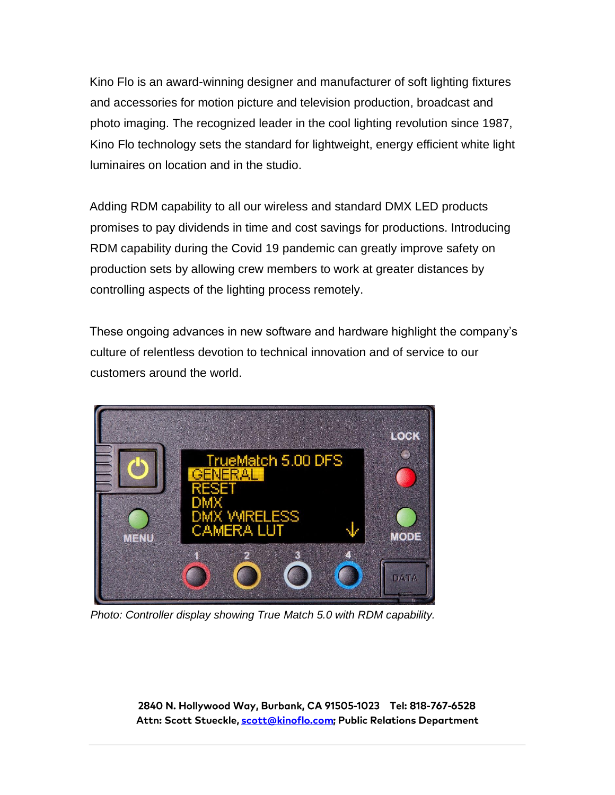Kino Flo is an award-winning designer and manufacturer of soft lighting fixtures and accessories for motion picture and television production, broadcast and photo imaging. The recognized leader in the cool lighting revolution since 1987, Kino Flo technology sets the standard for lightweight, energy efficient white light luminaires on location and in the studio.

Adding RDM capability to all our wireless and standard DMX LED products promises to pay dividends in time and cost savings for productions. Introducing RDM capability during the Covid 19 pandemic can greatly improve safety on production sets by allowing crew members to work at greater distances by controlling aspects of the lighting process remotely.

These ongoing advances in new software and hardware highlight the company's culture of relentless devotion to technical innovation and of service to our customers around the world.



*Photo: Controller display showing True Match 5.0 with RDM capability.* 

2840 N. Hollywood Way, Burbank, CA 91505-1023 Tel: 818-767-6528 Attn: Scott Stueckle, scott@kinoflo.com; Public Relations Department